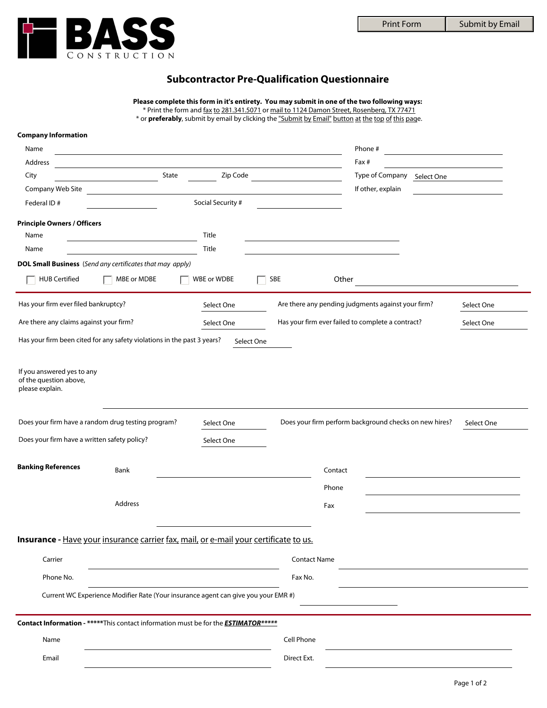Submit by Email



## **Subcontractor Pre-Qualification Questionnaire**

|                                                                                           |                                              |                                                            |                                                                                            | <b>Print Form</b>                                                                                  | Submit by Email                         |
|-------------------------------------------------------------------------------------------|----------------------------------------------|------------------------------------------------------------|--------------------------------------------------------------------------------------------|----------------------------------------------------------------------------------------------------|-----------------------------------------|
|                                                                                           |                                              |                                                            |                                                                                            |                                                                                                    |                                         |
|                                                                                           | CONSTRUCTION                                 |                                                            |                                                                                            |                                                                                                    |                                         |
|                                                                                           |                                              |                                                            |                                                                                            |                                                                                                    |                                         |
|                                                                                           |                                              |                                                            | <b>Subcontractor Pre-Qualification Questionnaire</b>                                       |                                                                                                    |                                         |
|                                                                                           |                                              |                                                            |                                                                                            |                                                                                                    |                                         |
|                                                                                           |                                              |                                                            | * Print the form and fax to 281.341.5071 or mail to 1124 Damon Street, Rosenberg, TX 77471 | Please complete this form in it's entirety. You may submit in one of the two following ways:       |                                         |
|                                                                                           |                                              |                                                            |                                                                                            | * or preferably, submit by email by clicking the "Submit by Email" button at the top of this page. |                                         |
| <b>Company Information</b>                                                                |                                              |                                                            |                                                                                            |                                                                                                    |                                         |
| Name                                                                                      |                                              |                                                            |                                                                                            | Phone#                                                                                             |                                         |
| Address                                                                                   |                                              | <u> 1989 - Johann Stoff, amerikansk politiker (* 1908)</u> |                                                                                            | Fax#                                                                                               | <u> 1989 - Johann Barbara, martin a</u> |
| City                                                                                      | State                                        | Zip Code                                                   |                                                                                            | Type of Company Select One                                                                         |                                         |
| Company Web Site                                                                          | <u> 1990 - Jan Barat, politik e</u> ta eta b |                                                            | <u> 1990 - John Barnett, fransk politiker (</u>                                            | If other, explain                                                                                  |                                         |
| Federal ID#                                                                               |                                              | Social Security #                                          |                                                                                            |                                                                                                    |                                         |
|                                                                                           |                                              |                                                            |                                                                                            |                                                                                                    |                                         |
| <b>Principle Owners / Officers</b>                                                        |                                              |                                                            |                                                                                            |                                                                                                    |                                         |
| Name                                                                                      |                                              | Title                                                      |                                                                                            |                                                                                                    |                                         |
| Name                                                                                      |                                              | Title                                                      |                                                                                            |                                                                                                    |                                         |
| <b>DOL Small Business</b> (Send any certificates that may apply)                          |                                              |                                                            |                                                                                            |                                                                                                    |                                         |
| <b>HUB Certified</b>                                                                      | MBE or MDBE                                  | $ \overline{\times} $ WBE or WDBE                          | SBE                                                                                        | Other                                                                                              |                                         |
|                                                                                           |                                              |                                                            |                                                                                            |                                                                                                    |                                         |
| Has your firm ever filed bankruptcy?                                                      |                                              | Select One                                                 |                                                                                            | Are there any pending judgments against your firm?                                                 | Select One                              |
| Are there any claims against your firm?                                                   |                                              |                                                            | Has your firm ever failed to complete a contract?                                          |                                                                                                    |                                         |
|                                                                                           |                                              | Select One                                                 |                                                                                            |                                                                                                    | Select One                              |
| Has your firm been cited for any safety violations in the past 3 years?                   |                                              | Select One                                                 |                                                                                            |                                                                                                    |                                         |
| If you answered yes to any<br>of the question above,<br>please explain.                   |                                              |                                                            |                                                                                            |                                                                                                    |                                         |
| Does your firm have a random drug testing program?                                        |                                              | Select One                                                 |                                                                                            | Does your firm perform background checks on new hires?                                             | Select One                              |
| Does your firm have a written safety policy?                                              |                                              | Select One                                                 |                                                                                            |                                                                                                    |                                         |
|                                                                                           |                                              |                                                            |                                                                                            |                                                                                                    |                                         |
| <b>Banking References</b>                                                                 |                                              |                                                            |                                                                                            |                                                                                                    |                                         |
|                                                                                           | Bank                                         |                                                            | Contact                                                                                    |                                                                                                    |                                         |
|                                                                                           |                                              |                                                            | Phone                                                                                      |                                                                                                    |                                         |
|                                                                                           | Address                                      |                                                            | Fax                                                                                        |                                                                                                    |                                         |
|                                                                                           |                                              |                                                            |                                                                                            |                                                                                                    |                                         |
|                                                                                           |                                              |                                                            |                                                                                            |                                                                                                    |                                         |
| Insurance - Have your insurance carrier fax, mail, or e-mail your certificate to us.      |                                              |                                                            |                                                                                            |                                                                                                    |                                         |
| Carrier                                                                                   |                                              |                                                            | <b>Contact Name</b>                                                                        |                                                                                                    |                                         |
|                                                                                           |                                              |                                                            |                                                                                            |                                                                                                    |                                         |
| Phone No.                                                                                 |                                              |                                                            | Fax No.                                                                                    |                                                                                                    |                                         |
| Current WC Experience Modifier Rate (Your insurance agent can give you your EMR #)        |                                              |                                                            |                                                                                            |                                                                                                    |                                         |
|                                                                                           |                                              |                                                            |                                                                                            |                                                                                                    |                                         |
| Contact Information - *****This contact information must be for the <b>ESTIMATOR*****</b> |                                              |                                                            |                                                                                            |                                                                                                    |                                         |
| Name                                                                                      |                                              |                                                            | Cell Phone                                                                                 |                                                                                                    |                                         |
|                                                                                           |                                              |                                                            |                                                                                            |                                                                                                    |                                         |
| Email                                                                                     |                                              |                                                            | Direct Ext.                                                                                |                                                                                                    |                                         |
|                                                                                           |                                              |                                                            |                                                                                            |                                                                                                    |                                         |